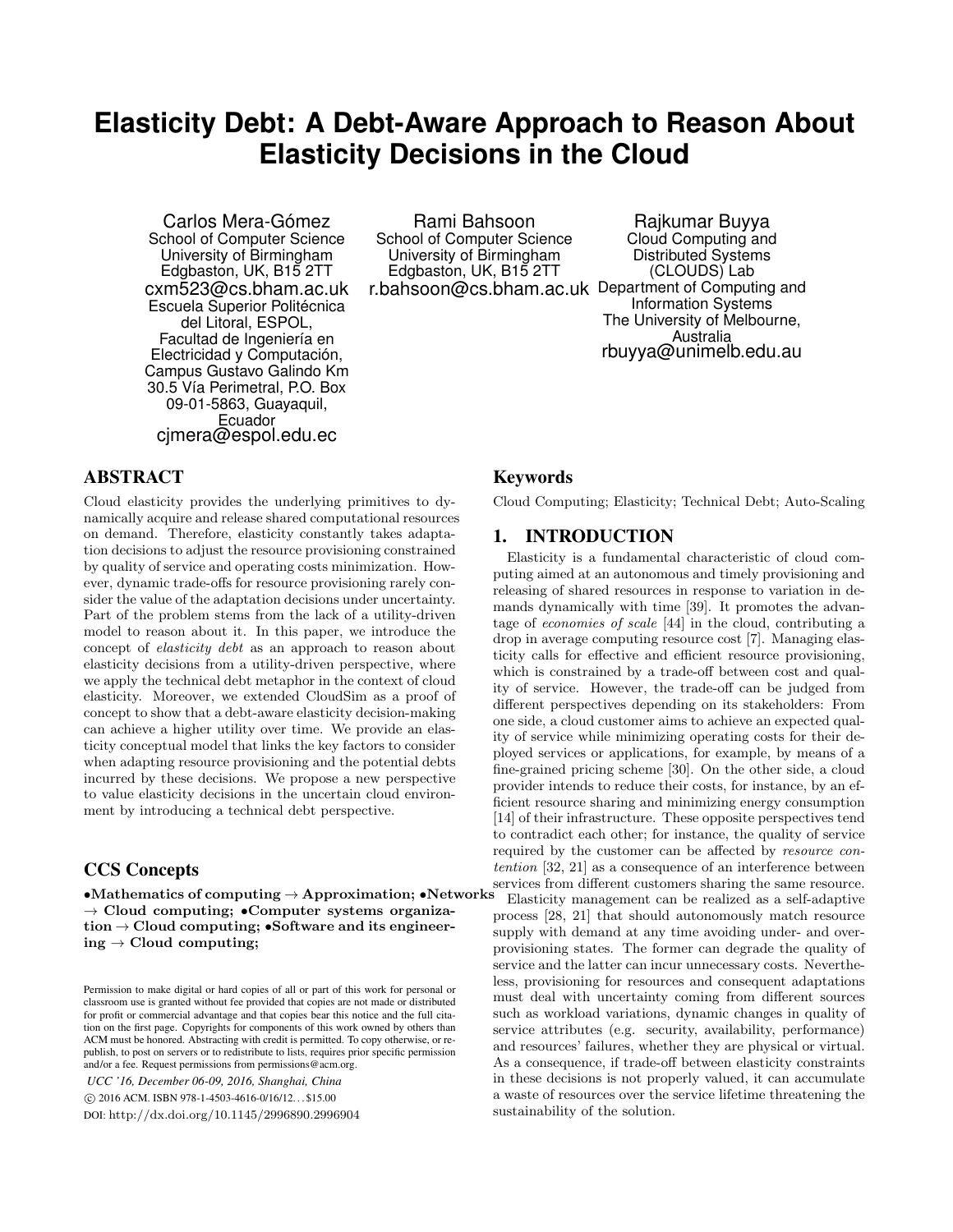# **Elasticity Debt: A Debt-Aware Approach to Reason About Elasticity Decisions in the Cloud**

Carlos Mera-Gómez School of Computer Science University of Birmingham Edgbaston, UK, B15 2TT cxm523@cs.bham.ac.uk Escuela Superior Politécnica del Litoral, ESPOL, Facultad de Ingeniería en Electricidad y Computación, Campus Gustavo Galindo Km 30.5 Vía Perimetral, P.O. Box 09-01-5863, Guayaquil, Ecuador cjmera@espol.edu.ec

Rami Bahsoon School of Computer Science University of Birmingham Edgbaston, UK, B15 2TT

r.bahsoon@cs.bham.ac.uk Department of Computing and Rajkumar Buyya Cloud Computing and Distributed Systems (CLOUDS) Lab Information Systems The University of Melbourne, Australia rbuyya@unimelb.edu.au

# ABSTRACT

Cloud elasticity provides the underlying primitives to dynamically acquire and release shared computational resources on demand. Therefore, elasticity constantly takes adaptation decisions to adjust the resource provisioning constrained by quality of service and operating costs minimization. However, dynamic trade-offs for resource provisioning rarely consider the value of the adaptation decisions under uncertainty. Part of the problem stems from the lack of a utility-driven model to reason about it. In this paper, we introduce the concept of elasticity debt as an approach to reason about elasticity decisions from a utility-driven perspective, where we apply the technical debt metaphor in the context of cloud elasticity. Moreover, we extended CloudSim as a proof of concept to show that a debt-aware elasticity decision-making can achieve a higher utility over time. We provide an elasticity conceptual model that links the key factors to consider when adapting resource provisioning and the potential debts incurred by these decisions. We propose a new perspective to value elasticity decisions in the uncertain cloud environment by introducing a technical debt perspective.

# CCS Concepts

 $\bullet$ Mathematics of computing  $\rightarrow$  Approximation;  $\bullet$ Networks  $\rightarrow$  Cloud computing;  $\bullet$ Computer systems organization  $\rightarrow$  Cloud computing; •Software and its engineer $ing \rightarrow Cloud$  computing;

*UCC '16, December 06-09, 2016, Shanghai, China* c 2016 ACM. ISBN 978-1-4503-4616-0/16/12. . . \$15.00 DOI: http://dx.doi.org/10.1145/2996890.2996904

# Keywords

Cloud Computing; Elasticity; Technical Debt; Auto-Scaling

# 1. INTRODUCTION

Elasticity is a fundamental characteristic of cloud computing aimed at an autonomous and timely provisioning and releasing of shared resources in response to variation in demands dynamically with time [39]. It promotes the advantage of economies of scale [44] in the cloud, contributing a drop in average computing resource cost [7]. Managing elasticity calls for effective and efficient resource provisioning, which is constrained by a trade-off between cost and quality of service. However, the trade-off can be judged from different perspectives depending on its stakeholders: From one side, a cloud customer aims to achieve an expected quality of service while minimizing operating costs for their deployed services or applications, for example, by means of a fine-grained pricing scheme [30]. On the other side, a cloud provider intends to reduce their costs, for instance, by an efficient resource sharing and minimizing energy consumption [14] of their infrastructure. These opposite perspectives tend to contradict each other; for instance, the quality of service required by the customer can be affected by resource contention [32, 21] as a consequence of an interference between services from different customers sharing the same resource.

Elasticity management can be realized as a self-adaptive process [28, 21] that should autonomously match resource supply with demand at any time avoiding under- and overprovisioning states. The former can degrade the quality of service and the latter can incur unnecessary costs. Nevertheless, provisioning for resources and consequent adaptations must deal with uncertainty coming from different sources such as workload variations, dynamic changes in quality of service attributes (e.g. security, availability, performance) and resources' failures, whether they are physical or virtual. As a consequence, if trade-off between elasticity constraints in these decisions is not properly valued, it can accumulate a waste of resources over the service lifetime threatening the sustainability of the solution.

Permission to make digital or hard copies of all or part of this work for personal or classroom use is granted without fee provided that copies are not made or distributed for profit or commercial advantage and that copies bear this notice and the full citation on the first page. Copyrights for components of this work owned by others than ACM must be honored. Abstracting with credit is permitted. To copy otherwise, or republish, to post on servers or to redistribute to lists, requires prior specific permission and/or a fee. Request permissions from permissions@acm.org.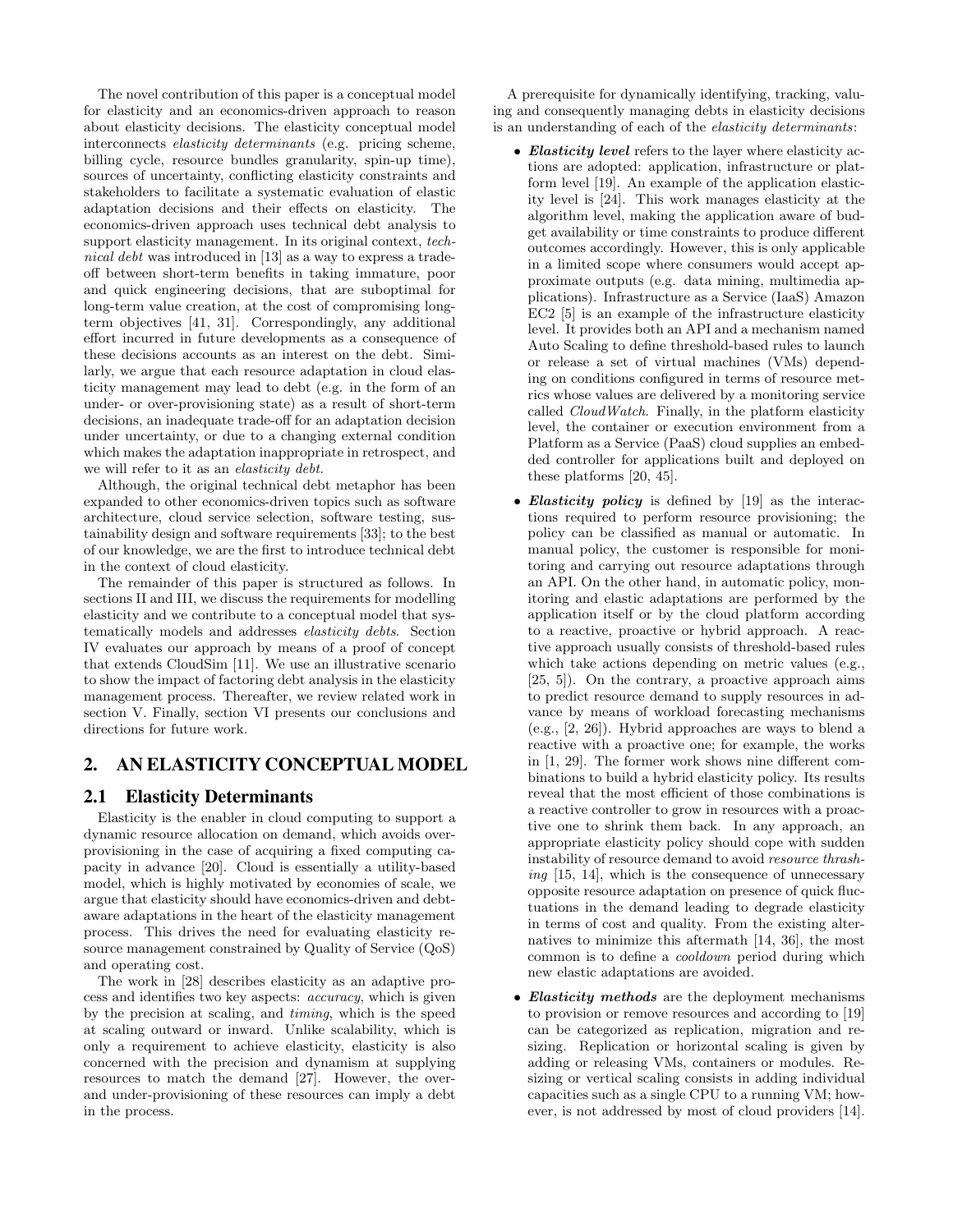The novel contribution of this paper is a conceptual model for elasticity and an economics-driven approach to reason about elasticity decisions. The elasticity conceptual model interconnects elasticity determinants (e.g. pricing scheme, billing cycle, resource bundles granularity, spin-up time), sources of uncertainty, conflicting elasticity constraints and stakeholders to facilitate a systematic evaluation of elastic adaptation decisions and their effects on elasticity. The economics-driven approach uses technical debt analysis to support elasticity management. In its original context, technical debt was introduced in [13] as a way to express a tradeoff between short-term benefits in taking immature, poor and quick engineering decisions, that are suboptimal for long-term value creation, at the cost of compromising longterm objectives [41, 31]. Correspondingly, any additional effort incurred in future developments as a consequence of these decisions accounts as an interest on the debt. Similarly, we argue that each resource adaptation in cloud elasticity management may lead to debt (e.g. in the form of an under- or over-provisioning state) as a result of short-term decisions, an inadequate trade-off for an adaptation decision under uncertainty, or due to a changing external condition which makes the adaptation inappropriate in retrospect, and we will refer to it as an elasticity debt.

Although, the original technical debt metaphor has been expanded to other economics-driven topics such as software architecture, cloud service selection, software testing, sustainability design and software requirements [33]; to the best of our knowledge, we are the first to introduce technical debt in the context of cloud elasticity.

The remainder of this paper is structured as follows. In sections II and III, we discuss the requirements for modelling elasticity and we contribute to a conceptual model that systematically models and addresses elasticity debts. Section IV evaluates our approach by means of a proof of concept that extends CloudSim [11]. We use an illustrative scenario to show the impact of factoring debt analysis in the elasticity management process. Thereafter, we review related work in section V. Finally, section VI presents our conclusions and directions for future work.

# 2. AN ELASTICITY CONCEPTUAL MODEL

# 2.1 Elasticity Determinants

Elasticity is the enabler in cloud computing to support a dynamic resource allocation on demand, which avoids overprovisioning in the case of acquiring a fixed computing capacity in advance [20]. Cloud is essentially a utility-based model, which is highly motivated by economies of scale, we argue that elasticity should have economics-driven and debtaware adaptations in the heart of the elasticity management process. This drives the need for evaluating elasticity resource management constrained by Quality of Service (QoS) and operating cost.

The work in [28] describes elasticity as an adaptive process and identifies two key aspects: accuracy, which is given by the precision at scaling, and timing, which is the speed at scaling outward or inward. Unlike scalability, which is only a requirement to achieve elasticity, elasticity is also concerned with the precision and dynamism at supplying resources to match the demand [27]. However, the overand under-provisioning of these resources can imply a debt in the process.

A prerequisite for dynamically identifying, tracking, valuing and consequently managing debts in elasticity decisions is an understanding of each of the elasticity determinants:

- Elasticity level refers to the layer where elasticity actions are adopted: application, infrastructure or platform level [19]. An example of the application elasticity level is [24]. This work manages elasticity at the algorithm level, making the application aware of budget availability or time constraints to produce different outcomes accordingly. However, this is only applicable in a limited scope where consumers would accept approximate outputs (e.g. data mining, multimedia applications). Infrastructure as a Service (IaaS) Amazon EC2 [5] is an example of the infrastructure elasticity level. It provides both an API and a mechanism named Auto Scaling to define threshold-based rules to launch or release a set of virtual machines (VMs) depending on conditions configured in terms of resource metrics whose values are delivered by a monitoring service called CloudWatch. Finally, in the platform elasticity level, the container or execution environment from a Platform as a Service (PaaS) cloud supplies an embedded controller for applications built and deployed on these platforms [20, 45].
- Elasticity policy is defined by [19] as the interactions required to perform resource provisioning; the policy can be classified as manual or automatic. In manual policy, the customer is responsible for monitoring and carrying out resource adaptations through an API. On the other hand, in automatic policy, monitoring and elastic adaptations are performed by the application itself or by the cloud platform according to a reactive, proactive or hybrid approach. A reactive approach usually consists of threshold-based rules which take actions depending on metric values (e.g., [25, 5]). On the contrary, a proactive approach aims to predict resource demand to supply resources in advance by means of workload forecasting mechanisms (e.g., [2, 26]). Hybrid approaches are ways to blend a reactive with a proactive one; for example, the works in [1, 29]. The former work shows nine different combinations to build a hybrid elasticity policy. Its results reveal that the most efficient of those combinations is a reactive controller to grow in resources with a proactive one to shrink them back. In any approach, an appropriate elasticity policy should cope with sudden instability of resource demand to avoid resource thrash $inq$  [15, 14], which is the consequence of unnecessary opposite resource adaptation on presence of quick fluctuations in the demand leading to degrade elasticity in terms of cost and quality. From the existing alternatives to minimize this aftermath [14, 36], the most common is to define a cooldown period during which new elastic adaptations are avoided.
- Elasticity methods are the deployment mechanisms to provision or remove resources and according to [19] can be categorized as replication, migration and resizing. Replication or horizontal scaling is given by adding or releasing VMs, containers or modules. Resizing or vertical scaling consists in adding individual capacities such as a single CPU to a running VM; however, is not addressed by most of cloud providers [14].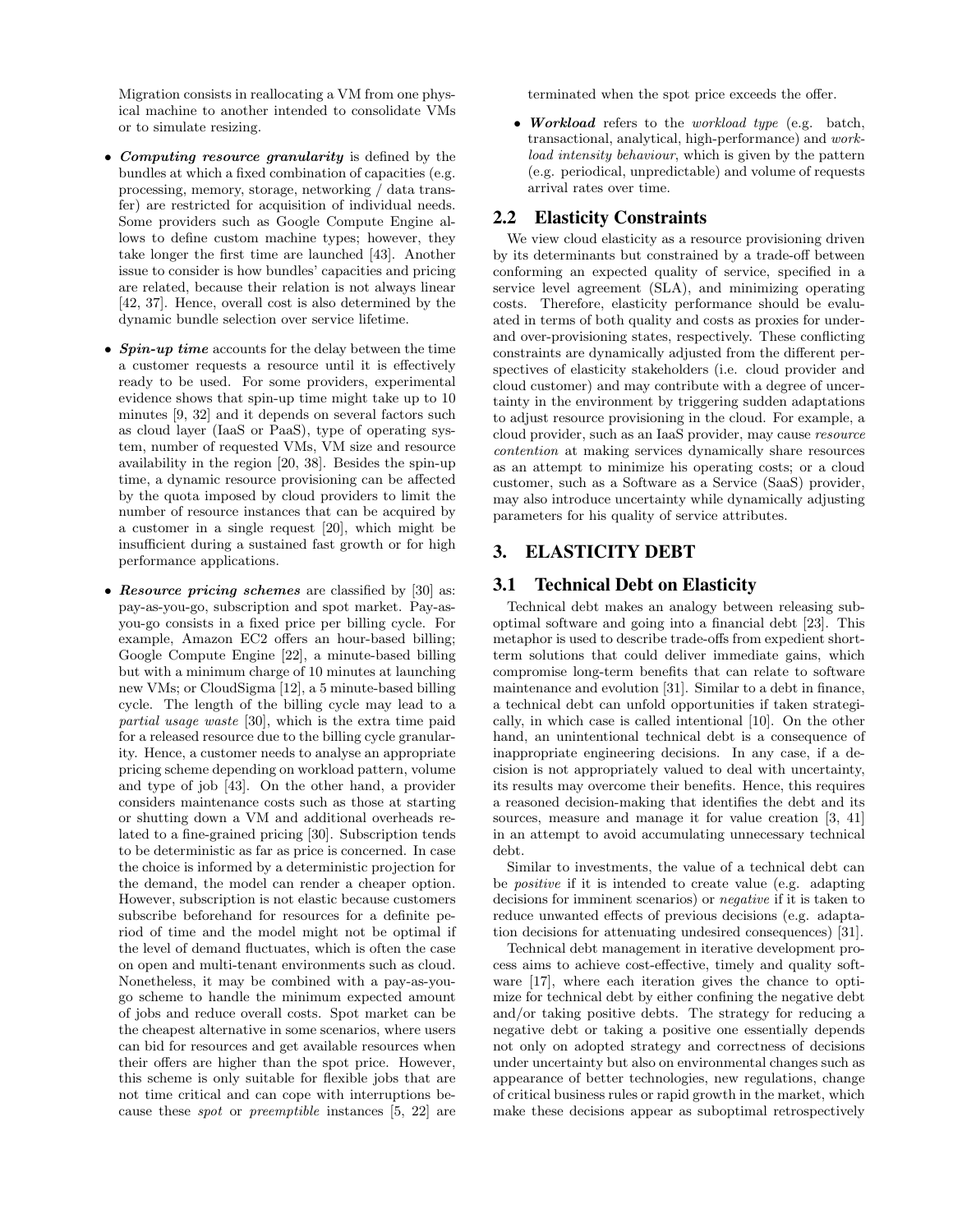Migration consists in reallocating a VM from one physical machine to another intended to consolidate VMs or to simulate resizing.

- Computing resource granularity is defined by the bundles at which a fixed combination of capacities (e.g. processing, memory, storage, networking / data transfer) are restricted for acquisition of individual needs. Some providers such as Google Compute Engine allows to define custom machine types; however, they take longer the first time are launched [43]. Another issue to consider is how bundles' capacities and pricing are related, because their relation is not always linear [42, 37]. Hence, overall cost is also determined by the dynamic bundle selection over service lifetime.
- Spin-up time accounts for the delay between the time a customer requests a resource until it is effectively ready to be used. For some providers, experimental evidence shows that spin-up time might take up to 10 minutes [9, 32] and it depends on several factors such as cloud layer (IaaS or PaaS), type of operating system, number of requested VMs, VM size and resource availability in the region [20, 38]. Besides the spin-up time, a dynamic resource provisioning can be affected by the quota imposed by cloud providers to limit the number of resource instances that can be acquired by a customer in a single request [20], which might be insufficient during a sustained fast growth or for high performance applications.
- Resource pricing schemes are classified by [30] as: pay-as-you-go, subscription and spot market. Pay-asyou-go consists in a fixed price per billing cycle. For example, Amazon EC2 offers an hour-based billing; Google Compute Engine [22], a minute-based billing but with a minimum charge of 10 minutes at launching new VMs; or CloudSigma [12], a 5 minute-based billing cycle. The length of the billing cycle may lead to a partial usage waste [30], which is the extra time paid for a released resource due to the billing cycle granularity. Hence, a customer needs to analyse an appropriate pricing scheme depending on workload pattern, volume and type of job [43]. On the other hand, a provider considers maintenance costs such as those at starting or shutting down a VM and additional overheads related to a fine-grained pricing [30]. Subscription tends to be deterministic as far as price is concerned. In case the choice is informed by a deterministic projection for the demand, the model can render a cheaper option. However, subscription is not elastic because customers subscribe beforehand for resources for a definite period of time and the model might not be optimal if the level of demand fluctuates, which is often the case on open and multi-tenant environments such as cloud. Nonetheless, it may be combined with a pay-as-yougo scheme to handle the minimum expected amount of jobs and reduce overall costs. Spot market can be the cheapest alternative in some scenarios, where users can bid for resources and get available resources when their offers are higher than the spot price. However, this scheme is only suitable for flexible jobs that are not time critical and can cope with interruptions because these spot or preemptible instances [5, 22] are

terminated when the spot price exceeds the offer.

• Workload refers to the workload type (e.g. batch, transactional, analytical, high-performance) and workload intensity behaviour, which is given by the pattern (e.g. periodical, unpredictable) and volume of requests arrival rates over time.

# 2.2 Elasticity Constraints

We view cloud elasticity as a resource provisioning driven by its determinants but constrained by a trade-off between conforming an expected quality of service, specified in a service level agreement (SLA), and minimizing operating costs. Therefore, elasticity performance should be evaluated in terms of both quality and costs as proxies for underand over-provisioning states, respectively. These conflicting constraints are dynamically adjusted from the different perspectives of elasticity stakeholders (i.e. cloud provider and cloud customer) and may contribute with a degree of uncertainty in the environment by triggering sudden adaptations to adjust resource provisioning in the cloud. For example, a cloud provider, such as an IaaS provider, may cause resource contention at making services dynamically share resources as an attempt to minimize his operating costs; or a cloud customer, such as a Software as a Service (SaaS) provider, may also introduce uncertainty while dynamically adjusting parameters for his quality of service attributes.

# 3. ELASTICITY DEBT

#### 3.1 Technical Debt on Elasticity

Technical debt makes an analogy between releasing suboptimal software and going into a financial debt [23]. This metaphor is used to describe trade-offs from expedient shortterm solutions that could deliver immediate gains, which compromise long-term benefits that can relate to software maintenance and evolution [31]. Similar to a debt in finance, a technical debt can unfold opportunities if taken strategically, in which case is called intentional [10]. On the other hand, an unintentional technical debt is a consequence of inappropriate engineering decisions. In any case, if a decision is not appropriately valued to deal with uncertainty, its results may overcome their benefits. Hence, this requires a reasoned decision-making that identifies the debt and its sources, measure and manage it for value creation [3, 41] in an attempt to avoid accumulating unnecessary technical debt.

Similar to investments, the value of a technical debt can be positive if it is intended to create value (e.g. adapting decisions for imminent scenarios) or negative if it is taken to reduce unwanted effects of previous decisions (e.g. adaptation decisions for attenuating undesired consequences) [31].

Technical debt management in iterative development process aims to achieve cost-effective, timely and quality software [17], where each iteration gives the chance to optimize for technical debt by either confining the negative debt and/or taking positive debts. The strategy for reducing a negative debt or taking a positive one essentially depends not only on adopted strategy and correctness of decisions under uncertainty but also on environmental changes such as appearance of better technologies, new regulations, change of critical business rules or rapid growth in the market, which make these decisions appear as suboptimal retrospectively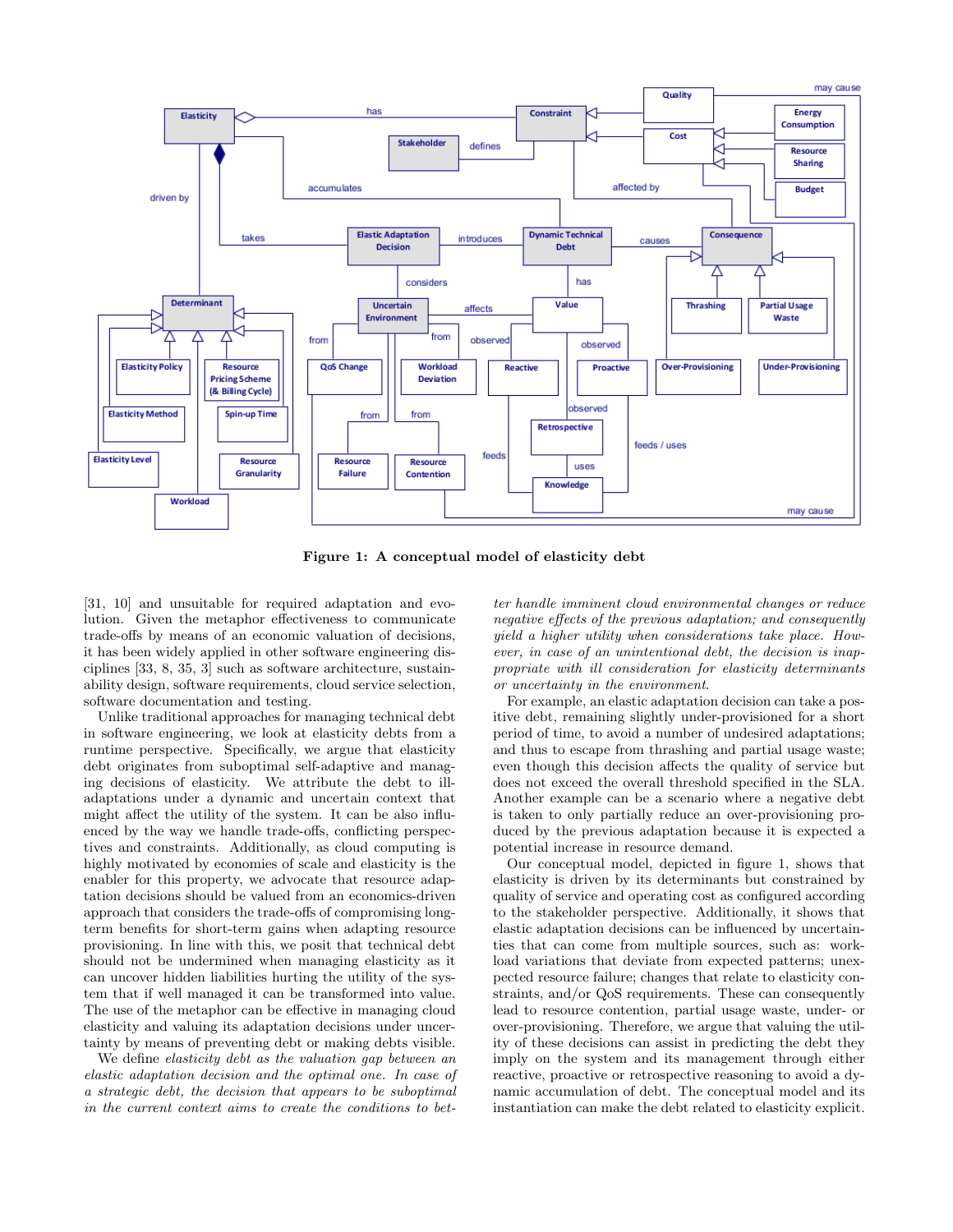

Figure 1: A conceptual model of elasticity debt

[31, 10] and unsuitable for required adaptation and evolution. Given the metaphor effectiveness to communicate trade-offs by means of an economic valuation of decisions, it has been widely applied in other software engineering disciplines [33, 8, 35, 3] such as software architecture, sustainability design, software requirements, cloud service selection, software documentation and testing.

Unlike traditional approaches for managing technical debt in software engineering, we look at elasticity debts from a runtime perspective. Specifically, we argue that elasticity debt originates from suboptimal self-adaptive and managing decisions of elasticity. We attribute the debt to illadaptations under a dynamic and uncertain context that might affect the utility of the system. It can be also influenced by the way we handle trade-offs, conflicting perspectives and constraints. Additionally, as cloud computing is highly motivated by economies of scale and elasticity is the enabler for this property, we advocate that resource adaptation decisions should be valued from an economics-driven approach that considers the trade-offs of compromising longterm benefits for short-term gains when adapting resource provisioning. In line with this, we posit that technical debt should not be undermined when managing elasticity as it can uncover hidden liabilities hurting the utility of the system that if well managed it can be transformed into value. The use of the metaphor can be effective in managing cloud elasticity and valuing its adaptation decisions under uncertainty by means of preventing debt or making debts visible.

We define *elasticity* debt as the valuation gap between an elastic adaptation decision and the optimal one. In case of a strategic debt, the decision that appears to be suboptimal in the current context aims to create the conditions to bet-

ter handle imminent cloud environmental changes or reduce negative effects of the previous adaptation; and consequently yield a higher utility when considerations take place. However, in case of an unintentional debt, the decision is inappropriate with ill consideration for elasticity determinants or uncertainty in the environment.

For example, an elastic adaptation decision can take a positive debt, remaining slightly under-provisioned for a short period of time, to avoid a number of undesired adaptations; and thus to escape from thrashing and partial usage waste; even though this decision affects the quality of service but does not exceed the overall threshold specified in the SLA. Another example can be a scenario where a negative debt is taken to only partially reduce an over-provisioning produced by the previous adaptation because it is expected a potential increase in resource demand.

Our conceptual model, depicted in figure 1, shows that elasticity is driven by its determinants but constrained by quality of service and operating cost as configured according to the stakeholder perspective. Additionally, it shows that elastic adaptation decisions can be influenced by uncertainties that can come from multiple sources, such as: workload variations that deviate from expected patterns; unexpected resource failure; changes that relate to elasticity constraints, and/or QoS requirements. These can consequently lead to resource contention, partial usage waste, under- or over-provisioning. Therefore, we argue that valuing the utility of these decisions can assist in predicting the debt they imply on the system and its management through either reactive, proactive or retrospective reasoning to avoid a dynamic accumulation of debt. The conceptual model and its instantiation can make the debt related to elasticity explicit.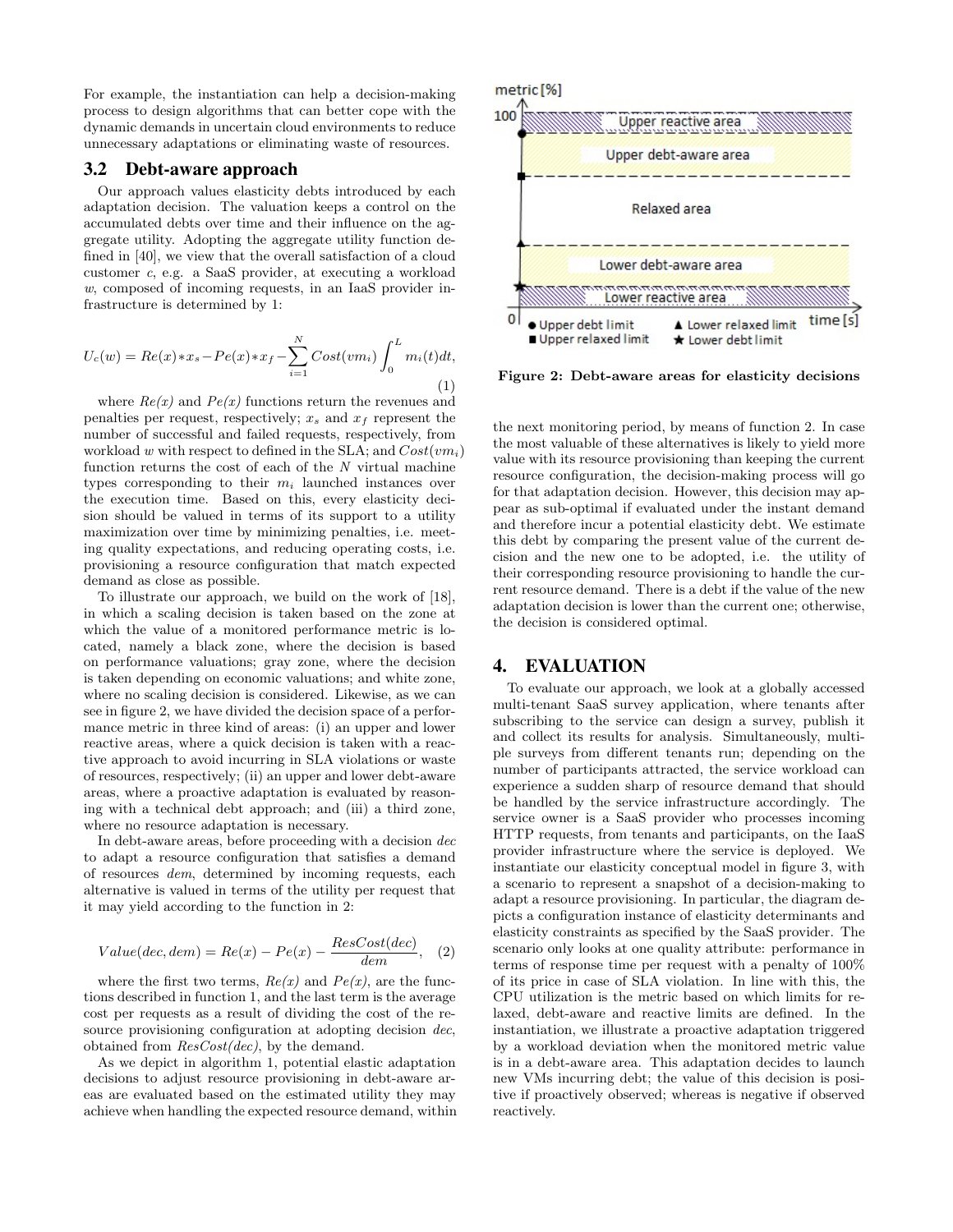For example, the instantiation can help a decision-making process to design algorithms that can better cope with the dynamic demands in uncertain cloud environments to reduce unnecessary adaptations or eliminating waste of resources.

#### 3.2 Debt-aware approach

Our approach values elasticity debts introduced by each adaptation decision. The valuation keeps a control on the accumulated debts over time and their influence on the aggregate utility. Adopting the aggregate utility function defined in [40], we view that the overall satisfaction of a cloud customer c, e.g. a SaaS provider, at executing a workload w, composed of incoming requests, in an IaaS provider infrastructure is determined by 1:

$$
U_c(w) = Re(x) * x_s - Pe(x) * x_f - \sum_{i=1}^{N} Cost(vm_i) \int_0^L m_i(t)dt,
$$
\n(1)

where  $Re(x)$  and  $Pe(x)$  functions return the revenues and penalties per request, respectively;  $x_s$  and  $x_f$  represent the number of successful and failed requests, respectively, from workload w with respect to defined in the SLA; and  $Cost(v_m)$ function returns the cost of each of the N virtual machine types corresponding to their  $m_i$  launched instances over the execution time. Based on this, every elasticity decision should be valued in terms of its support to a utility maximization over time by minimizing penalties, i.e. meeting quality expectations, and reducing operating costs, i.e. provisioning a resource configuration that match expected demand as close as possible.

To illustrate our approach, we build on the work of [18], in which a scaling decision is taken based on the zone at which the value of a monitored performance metric is located, namely a black zone, where the decision is based on performance valuations; gray zone, where the decision is taken depending on economic valuations; and white zone, where no scaling decision is considered. Likewise, as we can see in figure 2, we have divided the decision space of a performance metric in three kind of areas: (i) an upper and lower reactive areas, where a quick decision is taken with a reactive approach to avoid incurring in SLA violations or waste of resources, respectively; (ii) an upper and lower debt-aware areas, where a proactive adaptation is evaluated by reasoning with a technical debt approach; and (iii) a third zone, where no resource adaptation is necessary.

In debt-aware areas, before proceeding with a decision dec to adapt a resource configuration that satisfies a demand of resources dem, determined by incoming requests, each alternative is valued in terms of the utility per request that it may yield according to the function in 2:

$$
Value(dec, dem) = Re(x) - Pe(x) - \frac{ResCost(dec)}{dem}, \quad (2)
$$

where the first two terms,  $Re(x)$  and  $Pe(x)$ , are the functions described in function 1, and the last term is the average cost per requests as a result of dividing the cost of the resource provisioning configuration at adopting decision dec, obtained from ResCost(dec), by the demand.

As we depict in algorithm 1, potential elastic adaptation decisions to adjust resource provisioning in debt-aware areas are evaluated based on the estimated utility they may achieve when handling the expected resource demand, within



Figure 2: Debt-aware areas for elasticity decisions

the next monitoring period, by means of function 2. In case the most valuable of these alternatives is likely to yield more value with its resource provisioning than keeping the current resource configuration, the decision-making process will go for that adaptation decision. However, this decision may appear as sub-optimal if evaluated under the instant demand and therefore incur a potential elasticity debt. We estimate this debt by comparing the present value of the current decision and the new one to be adopted, i.e. the utility of their corresponding resource provisioning to handle the current resource demand. There is a debt if the value of the new adaptation decision is lower than the current one; otherwise, the decision is considered optimal.

## 4. EVALUATION

To evaluate our approach, we look at a globally accessed multi-tenant SaaS survey application, where tenants after subscribing to the service can design a survey, publish it and collect its results for analysis. Simultaneously, multiple surveys from different tenants run; depending on the number of participants attracted, the service workload can experience a sudden sharp of resource demand that should be handled by the service infrastructure accordingly. The service owner is a SaaS provider who processes incoming HTTP requests, from tenants and participants, on the IaaS provider infrastructure where the service is deployed. We instantiate our elasticity conceptual model in figure 3, with a scenario to represent a snapshot of a decision-making to adapt a resource provisioning. In particular, the diagram depicts a configuration instance of elasticity determinants and elasticity constraints as specified by the SaaS provider. The scenario only looks at one quality attribute: performance in terms of response time per request with a penalty of 100% of its price in case of SLA violation. In line with this, the CPU utilization is the metric based on which limits for relaxed, debt-aware and reactive limits are defined. In the instantiation, we illustrate a proactive adaptation triggered by a workload deviation when the monitored metric value is in a debt-aware area. This adaptation decides to launch new VMs incurring debt; the value of this decision is positive if proactively observed; whereas is negative if observed reactively.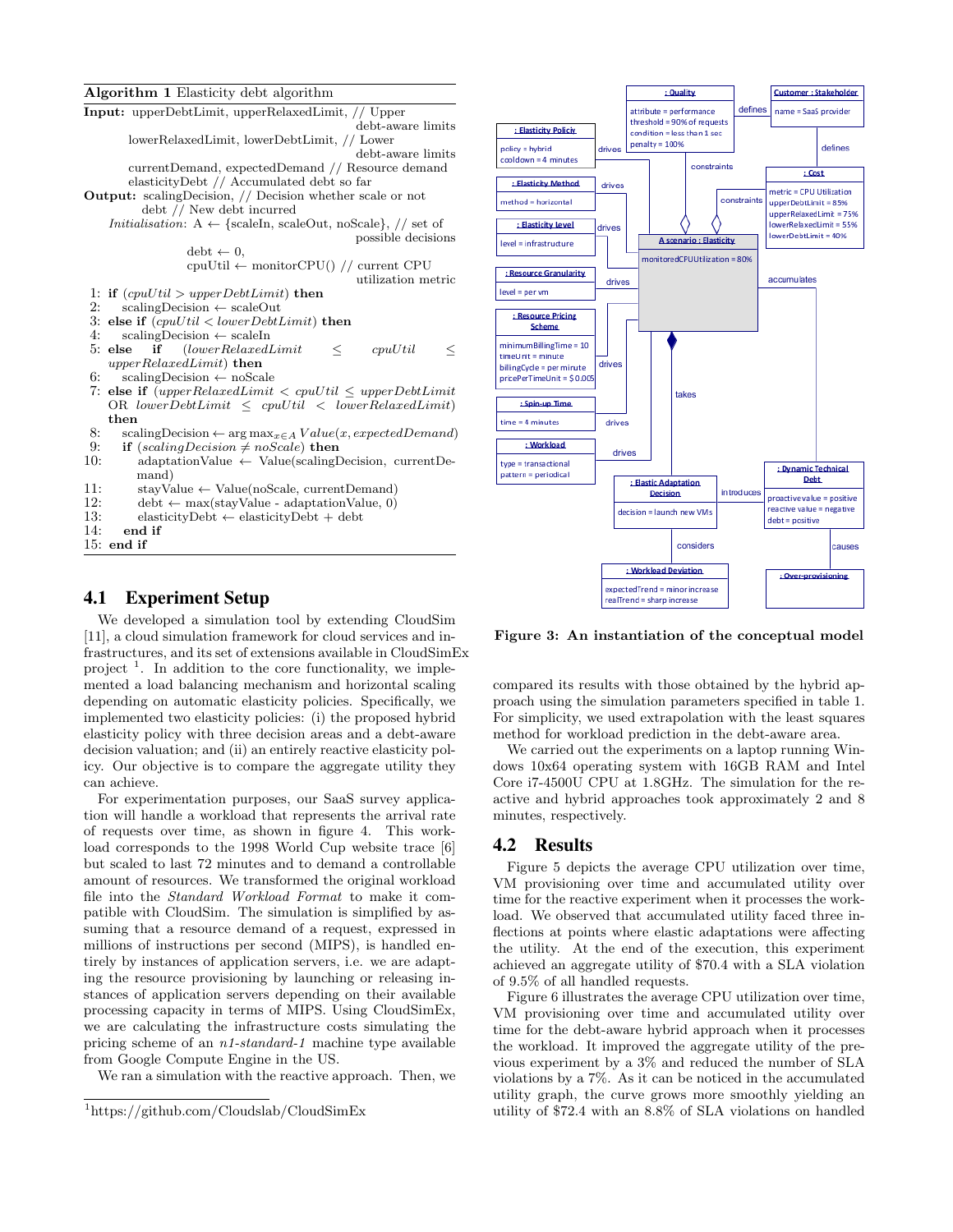|  |  | Algorithm 1 Elasticity debt algorithm |
|--|--|---------------------------------------|
|--|--|---------------------------------------|

| Input: upperDebtLimit, upperRelaxedLimit, // Upper<br>debt-aware limits                               |  |  |
|-------------------------------------------------------------------------------------------------------|--|--|
|                                                                                                       |  |  |
| lowerRelaxedLimit, lowerDebtLimit, // Lower                                                           |  |  |
| debt-aware limits                                                                                     |  |  |
| currentDemand, expectedDemand // Resource demand<br>elasticityDebt // Accumulated debt so far         |  |  |
| <b>Output:</b> scaling Decision, // Decision whether scale or not                                     |  |  |
| debt // New debt incurred                                                                             |  |  |
| <i>Initialisation</i> : $A \leftarrow \{scaleIn, scaleOut, noScale\}, // set of$                      |  |  |
| possible decisions                                                                                    |  |  |
| $\mathrm{debt} \leftarrow 0.$                                                                         |  |  |
| $cpuUtil \leftarrow monitorCPU() // current CPU$                                                      |  |  |
| utilization metric                                                                                    |  |  |
| 1: if $(cpuUtil > upperDebtLimit)$ then                                                               |  |  |
| 2:<br>$scalingDecision \leftarrow scaleOut$                                                           |  |  |
| 3: else if $(cpuUtil \lt lowerDebtLimit)$ then                                                        |  |  |
|                                                                                                       |  |  |
| scaling Decision $\leftarrow$ scale In<br>4:                                                          |  |  |
| 5: else if (lowerRelaxedLimit<br>cpuUtil<br>$\,<\,$<br>$\,<$                                          |  |  |
| $upperRelaxedLimit)$ then                                                                             |  |  |
| scaling Decision $\leftarrow$ no Scale<br>6:                                                          |  |  |
| 7: else if $(upperRelaxedLimit < copuUtil < upperDebtLimit$                                           |  |  |
| OR lowerDebtLimit $\langle \text{cpu}[[t]] \rangle$ cowerRelaxedLimit                                 |  |  |
| then                                                                                                  |  |  |
| 8:<br>scalingDecision $\leftarrow$ arg max <sub><math>x \in A</math></sub> $Value(x, expectedDemand)$ |  |  |
| 9:<br>if $(scalingDecision \neq noScale)$ then                                                        |  |  |
| 10:<br>$adaptationValue \leftarrow Value(scalingDecision, currentDe-$                                 |  |  |
| mand)<br>11:                                                                                          |  |  |
| $stayValue \leftarrow Value(noScale, currentDemand)$                                                  |  |  |
| 12:<br>$\mathrm{debt} \leftarrow \max(\mathrm{stayValue} - \mathrm{adaptationValue}, 0)$              |  |  |
| 13:<br>$elasticityDet \leftarrow elasticityDebt + debt$                                               |  |  |
| 14:<br>end if                                                                                         |  |  |
| $15:$ end if                                                                                          |  |  |
|                                                                                                       |  |  |

## 4.1 Experiment Setup

We developed a simulation tool by extending CloudSim [11], a cloud simulation framework for cloud services and infrastructures, and its set of extensions available in CloudSimEx project<sup>1</sup>. In addition to the core functionality, we implemented a load balancing mechanism and horizontal scaling depending on automatic elasticity policies. Specifically, we implemented two elasticity policies: (i) the proposed hybrid elasticity policy with three decision areas and a debt-aware decision valuation; and (ii) an entirely reactive elasticity policy. Our objective is to compare the aggregate utility they can achieve.

For experimentation purposes, our SaaS survey application will handle a workload that represents the arrival rate of requests over time, as shown in figure 4. This workload corresponds to the 1998 World Cup website trace [6] but scaled to last 72 minutes and to demand a controllable amount of resources. We transformed the original workload file into the Standard Workload Format to make it compatible with CloudSim. The simulation is simplified by assuming that a resource demand of a request, expressed in millions of instructions per second (MIPS), is handled entirely by instances of application servers, i.e. we are adapting the resource provisioning by launching or releasing instances of application servers depending on their available processing capacity in terms of MIPS. Using CloudSimEx, we are calculating the infrastructure costs simulating the pricing scheme of an n1-standard-1 machine type available from Google Compute Engine in the US.

We ran a simulation with the reactive approach. Then, we



Figure 3: An instantiation of the conceptual model

compared its results with those obtained by the hybrid approach using the simulation parameters specified in table 1. For simplicity, we used extrapolation with the least squares method for workload prediction in the debt-aware area.

We carried out the experiments on a laptop running Windows 10x64 operating system with 16GB RAM and Intel Core i7-4500U CPU at 1.8GHz. The simulation for the reactive and hybrid approaches took approximately 2 and 8 minutes, respectively.

### 4.2 Results

Figure 5 depicts the average CPU utilization over time, VM provisioning over time and accumulated utility over time for the reactive experiment when it processes the workload. We observed that accumulated utility faced three inflections at points where elastic adaptations were affecting the utility. At the end of the execution, this experiment achieved an aggregate utility of \$70.4 with a SLA violation of 9.5% of all handled requests.

Figure 6 illustrates the average CPU utilization over time, VM provisioning over time and accumulated utility over time for the debt-aware hybrid approach when it processes the workload. It improved the aggregate utility of the previous experiment by a 3% and reduced the number of SLA violations by a 7%. As it can be noticed in the accumulated utility graph, the curve grows more smoothly yielding an utility of \$72.4 with an 8.8% of SLA violations on handled

<sup>1</sup>https://github.com/Cloudslab/CloudSimEx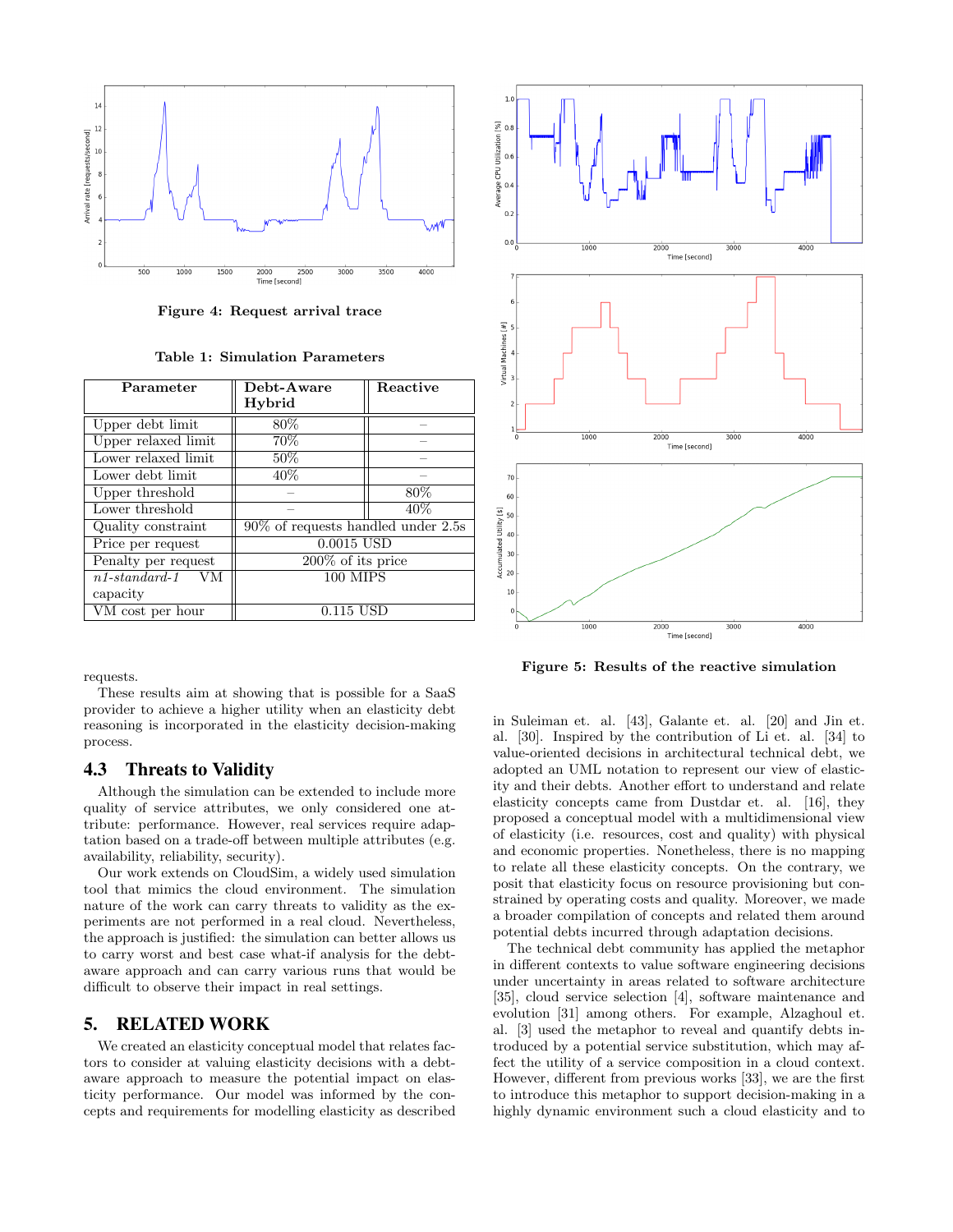

Figure 4: Request arrival trace

Table 1: Simulation Parameters

| Parameter                  | Debt-Aware                              | Reactive |
|----------------------------|-----------------------------------------|----------|
|                            | Hybrid                                  |          |
| Upper debt limit           | 80\%                                    |          |
| <b>Upper relaxed limit</b> | 70%                                     |          |
| Lower relaxed limit        | 50%                                     |          |
| Lower debt limit           | 40\%                                    |          |
| Upper threshold            |                                         | 80%      |
| Lower threshold            |                                         | 40\%     |
| Quality constraint         | $90\%$ of requests handled under $2.5s$ |          |
| Price per request          | $0.0015$ USD                            |          |
| Penalty per request        | $200\%$ of its price                    |          |
| $n1$ -standard-1<br>VM     | <b>100 MIPS</b>                         |          |
| capacity                   |                                         |          |
| VM cost per hour           | $0.115$ USD                             |          |



requests.

These results aim at showing that is possible for a SaaS provider to achieve a higher utility when an elasticity debt reasoning is incorporated in the elasticity decision-making process.

## 4.3 Threats to Validity

Although the simulation can be extended to include more quality of service attributes, we only considered one attribute: performance. However, real services require adaptation based on a trade-off between multiple attributes (e.g. availability, reliability, security).

Our work extends on CloudSim, a widely used simulation tool that mimics the cloud environment. The simulation nature of the work can carry threats to validity as the experiments are not performed in a real cloud. Nevertheless, the approach is justified: the simulation can better allows us to carry worst and best case what-if analysis for the debtaware approach and can carry various runs that would be difficult to observe their impact in real settings.

## 5. RELATED WORK

We created an elasticity conceptual model that relates factors to consider at valuing elasticity decisions with a debtaware approach to measure the potential impact on elasticity performance. Our model was informed by the concepts and requirements for modelling elasticity as described

Figure 5: Results of the reactive simulation

in Suleiman et. al. [43], Galante et. al. [20] and Jin et. al. [30]. Inspired by the contribution of Li et. al. [34] to value-oriented decisions in architectural technical debt, we adopted an UML notation to represent our view of elasticity and their debts. Another effort to understand and relate elasticity concepts came from Dustdar et. al. [16], they proposed a conceptual model with a multidimensional view of elasticity (i.e. resources, cost and quality) with physical and economic properties. Nonetheless, there is no mapping to relate all these elasticity concepts. On the contrary, we posit that elasticity focus on resource provisioning but constrained by operating costs and quality. Moreover, we made a broader compilation of concepts and related them around potential debts incurred through adaptation decisions.

The technical debt community has applied the metaphor in different contexts to value software engineering decisions under uncertainty in areas related to software architecture [35], cloud service selection [4], software maintenance and evolution [31] among others. For example, Alzaghoul et. al. [3] used the metaphor to reveal and quantify debts introduced by a potential service substitution, which may affect the utility of a service composition in a cloud context. However, different from previous works [33], we are the first to introduce this metaphor to support decision-making in a highly dynamic environment such a cloud elasticity and to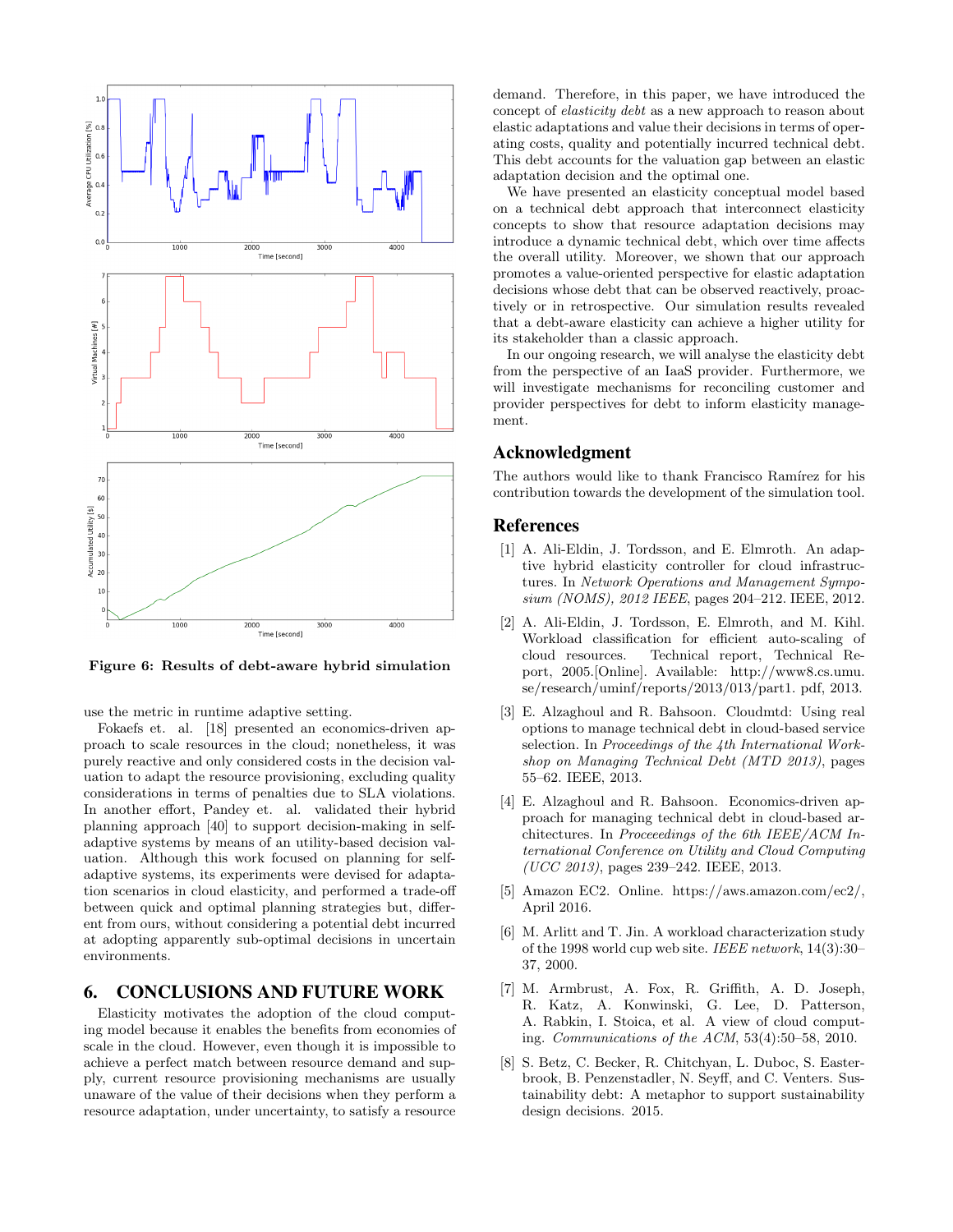

Figure 6: Results of debt-aware hybrid simulation

use the metric in runtime adaptive setting.

Fokaefs et. al. [18] presented an economics-driven approach to scale resources in the cloud; nonetheless, it was purely reactive and only considered costs in the decision valuation to adapt the resource provisioning, excluding quality considerations in terms of penalties due to SLA violations. In another effort, Pandey et. al. validated their hybrid planning approach [40] to support decision-making in selfadaptive systems by means of an utility-based decision valuation. Although this work focused on planning for selfadaptive systems, its experiments were devised for adaptation scenarios in cloud elasticity, and performed a trade-off between quick and optimal planning strategies but, different from ours, without considering a potential debt incurred at adopting apparently sub-optimal decisions in uncertain environments.

# 6. CONCLUSIONS AND FUTURE WORK

Elasticity motivates the adoption of the cloud computing model because it enables the benefits from economies of scale in the cloud. However, even though it is impossible to achieve a perfect match between resource demand and supply, current resource provisioning mechanisms are usually unaware of the value of their decisions when they perform a resource adaptation, under uncertainty, to satisfy a resource

demand. Therefore, in this paper, we have introduced the concept of elasticity debt as a new approach to reason about elastic adaptations and value their decisions in terms of operating costs, quality and potentially incurred technical debt. This debt accounts for the valuation gap between an elastic adaptation decision and the optimal one.

We have presented an elasticity conceptual model based on a technical debt approach that interconnect elasticity concepts to show that resource adaptation decisions may introduce a dynamic technical debt, which over time affects the overall utility. Moreover, we shown that our approach promotes a value-oriented perspective for elastic adaptation decisions whose debt that can be observed reactively, proactively or in retrospective. Our simulation results revealed that a debt-aware elasticity can achieve a higher utility for its stakeholder than a classic approach.

In our ongoing research, we will analyse the elasticity debt from the perspective of an IaaS provider. Furthermore, we will investigate mechanisms for reconciling customer and provider perspectives for debt to inform elasticity management.

#### Acknowledgment

The authors would like to thank Francisco Ramírez for his contribution towards the development of the simulation tool.

#### References

- [1] A. Ali-Eldin, J. Tordsson, and E. Elmroth. An adaptive hybrid elasticity controller for cloud infrastructures. In Network Operations and Management Symposium (NOMS), 2012 IEEE, pages 204–212. IEEE, 2012.
- [2] A. Ali-Eldin, J. Tordsson, E. Elmroth, and M. Kihl. Workload classification for efficient auto-scaling of cloud resources. Technical report, Technical Report, 2005.[Online]. Available: http://www8.cs.umu. se/research/uminf/reports/2013/013/part1. pdf, 2013.
- [3] E. Alzaghoul and R. Bahsoon. Cloudmtd: Using real options to manage technical debt in cloud-based service selection. In Proceedings of the 4th International Workshop on Managing Technical Debt (MTD 2013), pages 55–62. IEEE, 2013.
- [4] E. Alzaghoul and R. Bahsoon. Economics-driven approach for managing technical debt in cloud-based architectures. In Proceeedings of the 6th IEEE/ACM International Conference on Utility and Cloud Computing (UCC 2013), pages 239–242. IEEE, 2013.
- [5] Amazon EC2. Online. https://aws.amazon.com/ec2/, April 2016.
- [6] M. Arlitt and T. Jin. A workload characterization study of the 1998 world cup web site. IEEE network, 14(3):30– 37, 2000.
- [7] M. Armbrust, A. Fox, R. Griffith, A. D. Joseph, R. Katz, A. Konwinski, G. Lee, D. Patterson, A. Rabkin, I. Stoica, et al. A view of cloud computing. Communications of the ACM, 53(4):50–58, 2010.
- [8] S. Betz, C. Becker, R. Chitchyan, L. Duboc, S. Easterbrook, B. Penzenstadler, N. Seyff, and C. Venters. Sustainability debt: A metaphor to support sustainability design decisions. 2015.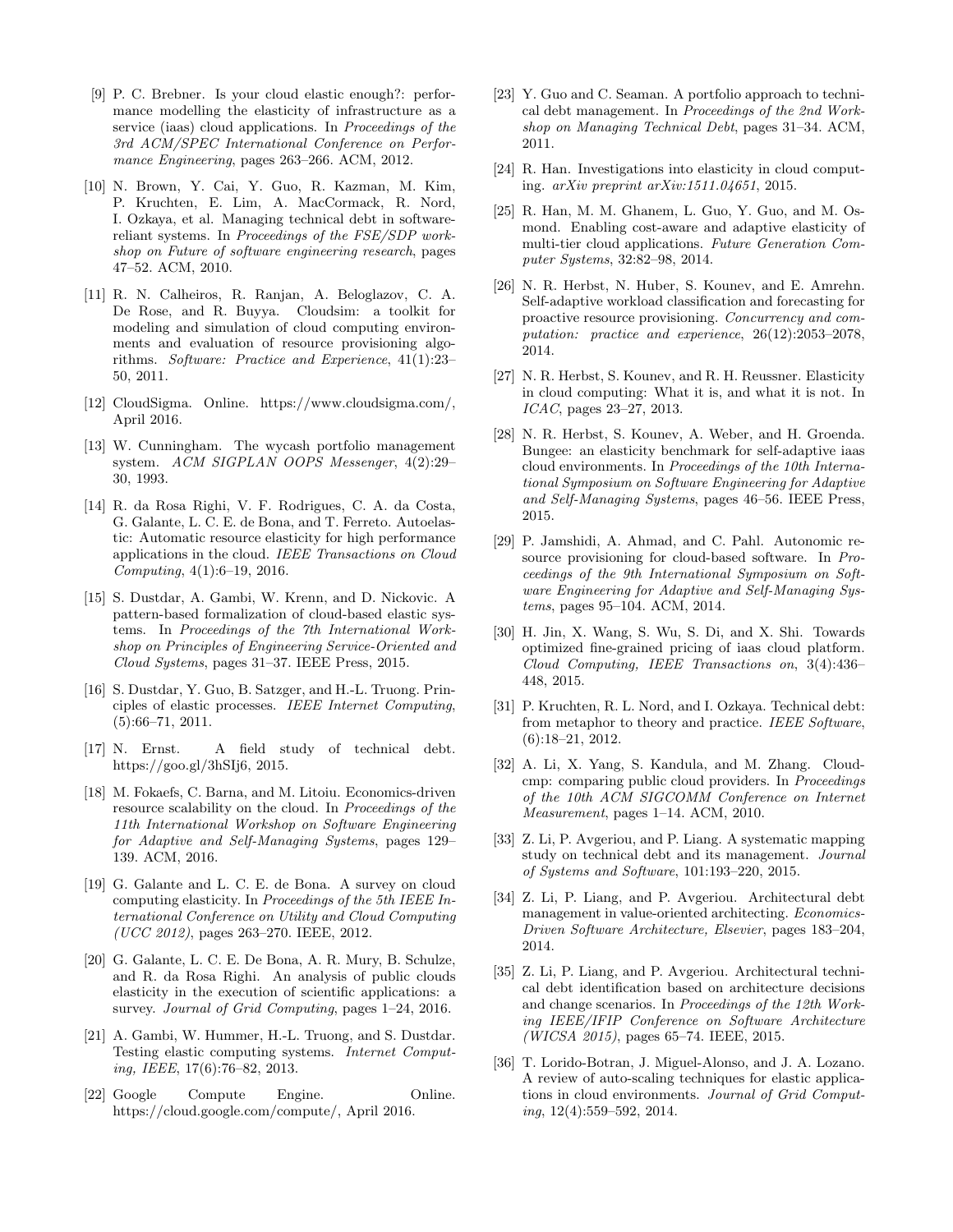- [9] P. C. Brebner. Is your cloud elastic enough?: performance modelling the elasticity of infrastructure as a service (iaas) cloud applications. In Proceedings of the 3rd ACM/SPEC International Conference on Performance Engineering, pages 263–266. ACM, 2012.
- [10] N. Brown, Y. Cai, Y. Guo, R. Kazman, M. Kim, P. Kruchten, E. Lim, A. MacCormack, R. Nord, I. Ozkaya, et al. Managing technical debt in softwarereliant systems. In Proceedings of the FSE/SDP workshop on Future of software engineering research, pages 47–52. ACM, 2010.
- [11] R. N. Calheiros, R. Ranjan, A. Beloglazov, C. A. De Rose, and R. Buyya. Cloudsim: a toolkit for modeling and simulation of cloud computing environments and evaluation of resource provisioning algorithms. Software: Practice and Experience, 41(1):23– 50, 2011.
- [12] CloudSigma. Online. https://www.cloudsigma.com/, April 2016.
- [13] W. Cunningham. The wycash portfolio management system. ACM SIGPLAN OOPS Messenger, 4(2):29– 30, 1993.
- [14] R. da Rosa Righi, V. F. Rodrigues, C. A. da Costa, G. Galante, L. C. E. de Bona, and T. Ferreto. Autoelastic: Automatic resource elasticity for high performance applications in the cloud. IEEE Transactions on Cloud Computing, 4(1):6–19, 2016.
- [15] S. Dustdar, A. Gambi, W. Krenn, and D. Nickovic. A pattern-based formalization of cloud-based elastic systems. In Proceedings of the 7th International Workshop on Principles of Engineering Service-Oriented and Cloud Systems, pages 31–37. IEEE Press, 2015.
- [16] S. Dustdar, Y. Guo, B. Satzger, and H.-L. Truong. Principles of elastic processes. IEEE Internet Computing, (5):66–71, 2011.
- [17] N. Ernst. A field study of technical debt. https://goo.gl/3hSIj6, 2015.
- [18] M. Fokaefs, C. Barna, and M. Litoiu. Economics-driven resource scalability on the cloud. In Proceedings of the 11th International Workshop on Software Engineering for Adaptive and Self-Managing Systems, pages 129– 139. ACM, 2016.
- [19] G. Galante and L. C. E. de Bona. A survey on cloud computing elasticity. In Proceedings of the 5th IEEE International Conference on Utility and Cloud Computing (UCC 2012), pages 263–270. IEEE, 2012.
- [20] G. Galante, L. C. E. De Bona, A. R. Mury, B. Schulze, and R. da Rosa Righi. An analysis of public clouds elasticity in the execution of scientific applications: a survey. Journal of Grid Computing, pages 1–24, 2016.
- [21] A. Gambi, W. Hummer, H.-L. Truong, and S. Dustdar. Testing elastic computing systems. Internet Computing, IEEE, 17(6):76–82, 2013.
- [22] Google Compute Engine. Online. https://cloud.google.com/compute/, April 2016.
- [23] Y. Guo and C. Seaman. A portfolio approach to technical debt management. In Proceedings of the 2nd Workshop on Managing Technical Debt, pages 31–34. ACM, 2011.
- [24] R. Han. Investigations into elasticity in cloud computing. arXiv preprint arXiv:1511.04651, 2015.
- [25] R. Han, M. M. Ghanem, L. Guo, Y. Guo, and M. Osmond. Enabling cost-aware and adaptive elasticity of multi-tier cloud applications. Future Generation Computer Systems, 32:82–98, 2014.
- [26] N. R. Herbst, N. Huber, S. Kounev, and E. Amrehn. Self-adaptive workload classification and forecasting for proactive resource provisioning. Concurrency and computation: practice and experience, 26(12):2053–2078, 2014.
- [27] N. R. Herbst, S. Kounev, and R. H. Reussner. Elasticity in cloud computing: What it is, and what it is not. In ICAC, pages 23–27, 2013.
- [28] N. R. Herbst, S. Kounev, A. Weber, and H. Groenda. Bungee: an elasticity benchmark for self-adaptive iaas cloud environments. In Proceedings of the 10th International Symposium on Software Engineering for Adaptive and Self-Managing Systems, pages 46–56. IEEE Press, 2015.
- [29] P. Jamshidi, A. Ahmad, and C. Pahl. Autonomic resource provisioning for cloud-based software. In Proceedings of the 9th International Symposium on Software Engineering for Adaptive and Self-Managing Systems, pages 95–104. ACM, 2014.
- [30] H. Jin, X. Wang, S. Wu, S. Di, and X. Shi. Towards optimized fine-grained pricing of iaas cloud platform. Cloud Computing, IEEE Transactions on, 3(4):436– 448, 2015.
- [31] P. Kruchten, R. L. Nord, and I. Ozkaya. Technical debt: from metaphor to theory and practice. IEEE Software, (6):18–21, 2012.
- [32] A. Li, X. Yang, S. Kandula, and M. Zhang. Cloudcmp: comparing public cloud providers. In Proceedings of the 10th ACM SIGCOMM Conference on Internet Measurement, pages 1–14. ACM, 2010.
- [33] Z. Li, P. Avgeriou, and P. Liang. A systematic mapping study on technical debt and its management. Journal of Systems and Software, 101:193–220, 2015.
- [34] Z. Li, P. Liang, and P. Avgeriou. Architectural debt management in value-oriented architecting. Economics-Driven Software Architecture, Elsevier, pages 183–204, 2014.
- [35] Z. Li, P. Liang, and P. Avgeriou. Architectural technical debt identification based on architecture decisions and change scenarios. In Proceedings of the 12th Working IEEE/IFIP Conference on Software Architecture (WICSA 2015), pages 65–74. IEEE, 2015.
- [36] T. Lorido-Botran, J. Miguel-Alonso, and J. A. Lozano. A review of auto-scaling techniques for elastic applications in cloud environments. Journal of Grid Comput $ing, 12(4):559-592, 2014.$